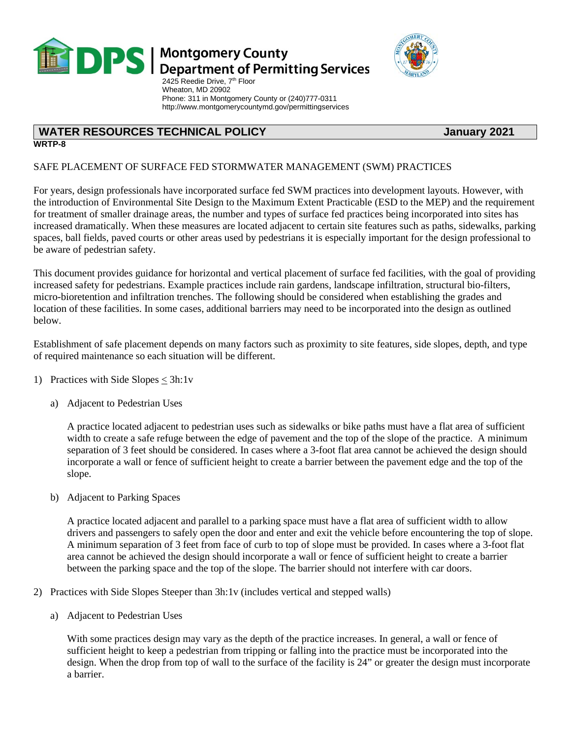

## **DPS** Montgomery County<br>Department of Permitting Services

 Wheaton, MD 20902 Phone: 311 in Montgomery County or (240)777-0311 http://www.montgomerycountymd.gov/permittingservices

### **WATER RESOURCES TECHNICAL POLICY DESCRIPTION OF A LIGARY 2021**

### **WRTP-8**

#### SAFE PLACEMENT OF SURFACE FED STORMWATER MANAGEMENT (SWM) PRACTICES

For years, design professionals have incorporated surface fed SWM practices into development layouts. However, with the introduction of Environmental Site Design to the Maximum Extent Practicable (ESD to the MEP) and the requirement for treatment of smaller drainage areas, the number and types of surface fed practices being incorporated into sites has increased dramatically. When these measures are located adjacent to certain site features such as paths, sidewalks, parking spaces, ball fields, paved courts or other areas used by pedestrians it is especially important for the design professional to be aware of pedestrian safety.

This document provides guidance for horizontal and vertical placement of surface fed facilities, with the goal of providing increased safety for pedestrians. Example practices include rain gardens, landscape infiltration, structural bio-filters, micro-bioretention and infiltration trenches. The following should be considered when establishing the grades and location of these facilities. In some cases, additional barriers may need to be incorporated into the design as outlined below.

Establishment of safe placement depends on many factors such as proximity to site features, side slopes, depth, and type of required maintenance so each situation will be different.

- 1) Practices with Side Slopes  $\leq 3h:1v$ 
	- a) Adjacent to Pedestrian Uses

A practice located adjacent to pedestrian uses such as sidewalks or bike paths must have a flat area of sufficient width to create a safe refuge between the edge of pavement and the top of the slope of the practice. A minimum separation of 3 feet should be considered. In cases where a 3-foot flat area cannot be achieved the design should incorporate a wall or fence of sufficient height to create a barrier between the pavement edge and the top of the slope.

b) Adjacent to Parking Spaces

A practice located adjacent and parallel to a parking space must have a flat area of sufficient width to allow drivers and passengers to safely open the door and enter and exit the vehicle before encountering the top of slope. A minimum separation of 3 feet from face of curb to top of slope must be provided. In cases where a 3-foot flat area cannot be achieved the design should incorporate a wall or fence of sufficient height to create a barrier between the parking space and the top of the slope. The barrier should not interfere with car doors.

- 2) Practices with Side Slopes Steeper than 3h:1v (includes vertical and stepped walls)
	- a) Adjacent to Pedestrian Uses

With some practices design may vary as the depth of the practice increases. In general, a wall or fence of sufficient height to keep a pedestrian from tripping or falling into the practice must be incorporated into the design. When the drop from top of wall to the surface of the facility is 24" or greater the design must incorporate a barrier.